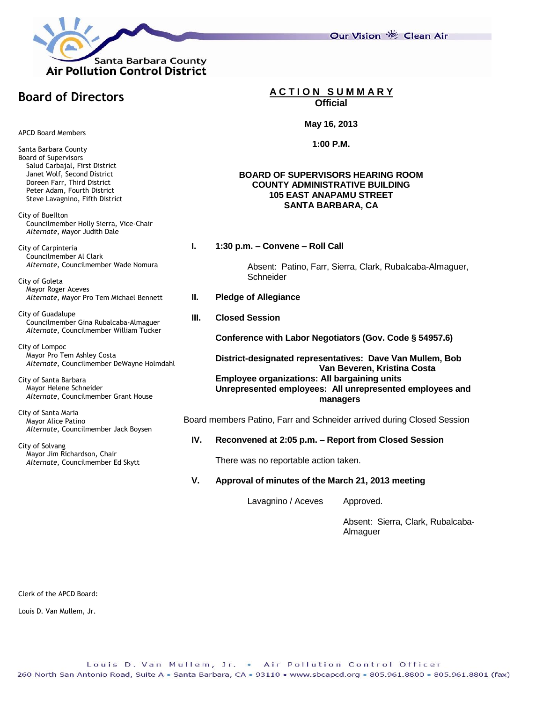

Our Vision 卷 Clean Air

# **Board of Directors**

APCD Board Members

Santa Barbara County Board of Supervisors Salud Carbajal, First District Janet Wolf, Second District Doreen Farr, Third District Peter Adam, Fourth District Steve Lavagnino, Fifth District

City of Buellton Councilmember Holly Sierra, Vice-Chair *Alternate*, Mayor Judith Dale

City of Carpinteria Councilmember Al Clark *Alternate*, Councilmember Wade Nomura

City of Goleta Mayor Roger Aceves *Alternate*, Mayor Pro Tem Michael Bennett

City of Guadalupe Councilmember Gina Rubalcaba-Almaguer *Alternate*, Councilmember William Tucker

City of Lompoc Mayor Pro Tem Ashley Costa *Alternate*, Councilmember DeWayne Holmdahl

City of Santa Barbara Mayor Helene Schneider *Alternate*, Councilmember Grant House

City of Santa Maria Mayor Alice Patino *Alternate*, Councilmember Jack Boysen

City of Solvang Mayor Jim Richardson, Chair *Alternate*, Councilmember Ed Skytt **A C T I O N S U M M A R Y Official**

#### **May 16, 2013**

#### **1:00 P.M.**

# **BOARD OF SUPERVISORS HEARING ROOM COUNTY ADMINISTRATIVE BUILDING 105 EAST ANAPAMU STREET SANTA BARBARA, CA**

**I. 1:30 p.m. – Convene – Roll Call**

Absent: Patino, Farr, Sierra, Clark, Rubalcaba-Almaguer, **Schneider** 

- **II. Pledge of Allegiance**
- **III. Closed Session**

**Conference with Labor Negotiators (Gov. Code § 54957.6)**

**District-designated representatives: Dave Van Mullem, Bob Van Beveren, Kristina Costa Employee organizations: All bargaining units Unrepresented employees: All unrepresented employees and managers**

Board members Patino, Farr and Schneider arrived during Closed Session

# **IV. Reconvened at 2:05 p.m. – Report from Closed Session**

There was no reportable action taken.

# **V. Approval of minutes of the March 21, 2013 meeting**

Lavagnino / Aceves Approved.

Absent: Sierra, Clark, Rubalcaba-Almaguer

Clerk of the APCD Board:

Louis D. Van Mullem, Jr.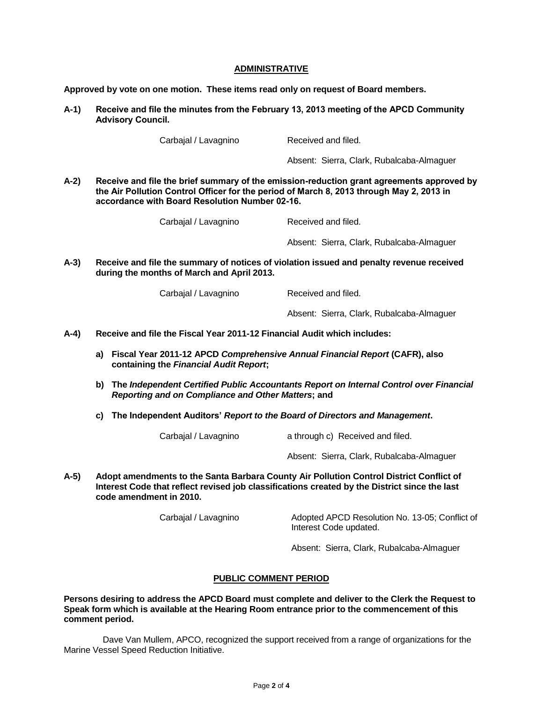#### **ADMINISTRATIVE**

**Approved by vote on one motion. These items read only on request of Board members.**

**A-1) Receive and file the minutes from the February 13, 2013 meeting of the APCD Community Advisory Council.**

Carbajal / Lavagnino Received and filed.

Absent: Sierra, Clark, Rubalcaba-Almaguer

**A-2) Receive and file the brief summary of the emission-reduction grant agreements approved by the Air Pollution Control Officer for the period of March 8, 2013 through May 2, 2013 in accordance with Board Resolution Number 02-16.**

Carbajal / Lavagnino Received and filed.

Absent: Sierra, Clark, Rubalcaba-Almaguer

**A-3) Receive and file the summary of notices of violation issued and penalty revenue received during the months of March and April 2013.**

Carbajal / Lavagnino Received and filed.

Absent: Sierra, Clark, Rubalcaba-Almaguer

- **A-4) Receive and file the Fiscal Year 2011-12 Financial Audit which includes:**
	- **a) Fiscal Year 2011-12 APCD** *Comprehensive Annual Financial Report* **(CAFR), also containing the** *Financial Audit Report***;**
	- **b) The** *Independent Certified Public Accountants Report on Internal Control over Financial Reporting and on Compliance and Other Matters***; and**
	- **c) The Independent Auditors'** *Report to the Board of Directors and Management***.**

Carbaial / Lavagnino a through c) Received and filed.

Absent: Sierra, Clark, Rubalcaba-Almaguer

**A-5) Adopt amendments to the Santa Barbara County Air Pollution Control District Conflict of Interest Code that reflect revised job classifications created by the District since the last code amendment in 2010.**

Carbajal / Lavagnino Adopted APCD Resolution No. 13-05; Conflict of Interest Code updated.

Absent: Sierra, Clark, Rubalcaba-Almaguer

# **PUBLIC COMMENT PERIOD**

**Persons desiring to address the APCD Board must complete and deliver to the Clerk the Request to Speak form which is available at the Hearing Room entrance prior to the commencement of this comment period.** 

 Dave Van Mullem, APCO, recognized the support received from a range of organizations for the Marine Vessel Speed Reduction Initiative.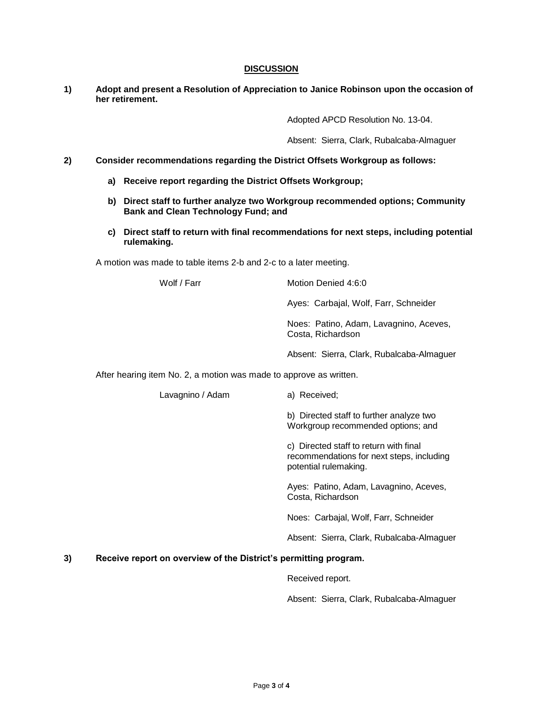# **DISCUSSION**

**1) Adopt and present a Resolution of Appreciation to Janice Robinson upon the occasion of her retirement.**

Adopted APCD Resolution No. 13-04.

Absent: Sierra, Clark, Rubalcaba-Almaguer

- **2) Consider recommendations regarding the District Offsets Workgroup as follows:**
	- **a) Receive report regarding the District Offsets Workgroup;**
	- **b) Direct staff to further analyze two Workgroup recommended options; Community Bank and Clean Technology Fund; and**
	- **c) Direct staff to return with final recommendations for next steps, including potential rulemaking.**

A motion was made to table items 2-b and 2-c to a later meeting.

Wolf / Farr Motion Denied 4:6:0 Ayes: Carbajal, Wolf, Farr, Schneider Noes: Patino, Adam, Lavagnino, Aceves, Costa, Richardson

Absent: Sierra, Clark, Rubalcaba-Almaguer

After hearing item No. 2, a motion was made to approve as written.

Lavagnino / Adam (a) Received;

b) Directed staff to further analyze two Workgroup recommended options; and

c) Directed staff to return with final recommendations for next steps, including potential rulemaking.

Ayes: Patino, Adam, Lavagnino, Aceves, Costa, Richardson

Noes: Carbajal, Wolf, Farr, Schneider

Absent: Sierra, Clark, Rubalcaba-Almaguer

# **3) Receive report on overview of the District's permitting program.**

Received report.

Absent: Sierra, Clark, Rubalcaba-Almaguer